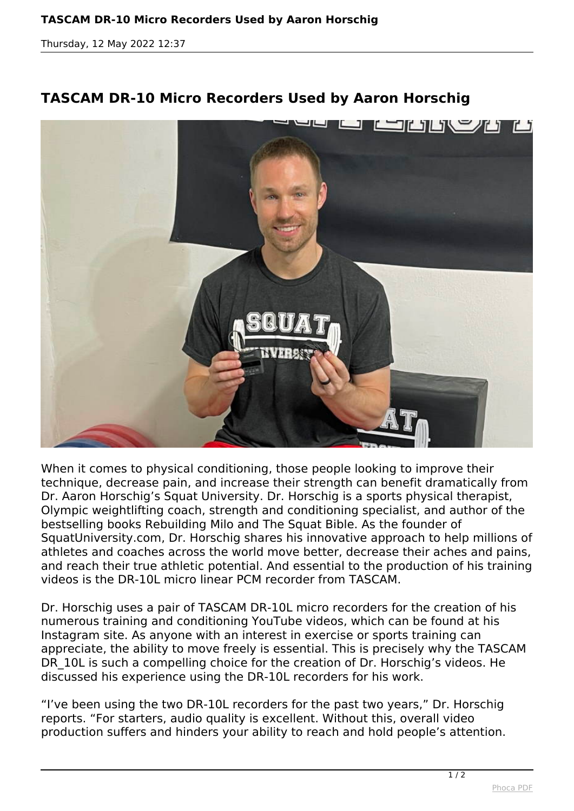*Thursday, 12 May 2022 12:37*



## **TASCAM DR-10 Micro Recorders Used by Aaron Horschig**

*When it comes to physical conditioning, those people looking to improve their technique, decrease pain, and increase their strength can benefit dramatically from Dr. Aaron Horschig's Squat University. Dr. Horschig is a sports physical therapist, Olympic weightlifting coach, strength and conditioning specialist, and author of the bestselling books Rebuilding Milo and The Squat Bible. As the founder of SquatUniversity.com, Dr. Horschig shares his innovative approach to help millions of athletes and coaches across the world move better, decrease their aches and pains, and reach their true athletic potential. And essential to the production of his training videos is the DR-10L micro linear PCM recorder from TASCAM.*

*Dr. Horschig uses a pair of TASCAM DR-10L micro recorders for the creation of his numerous training and conditioning YouTube videos, which can be found at his Instagram site. As anyone with an interest in exercise or sports training can appreciate, the ability to move freely is essential. This is precisely why the TASCAM DR\_10L is such a compelling choice for the creation of Dr. Horschig's videos. He discussed his experience using the DR-10L recorders for his work.*

*"I've been using the two DR-10L recorders for the past two years," Dr. Horschig reports. "For starters, audio quality is excellent. Without this, overall video production suffers and hinders your ability to reach and hold people's attention.*